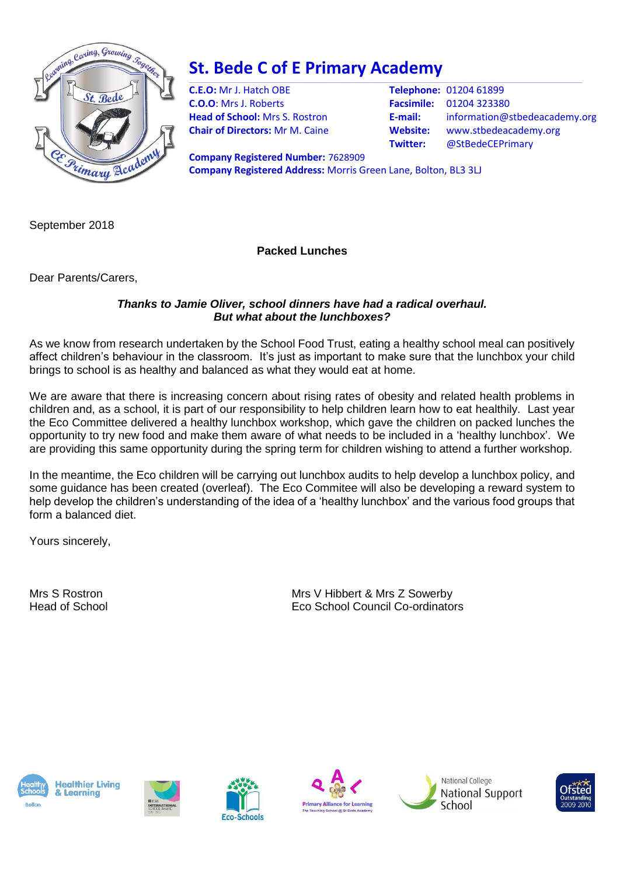

# **St. Bede C of E Primary Academy**

**C.E.O:** Mr J. Hatch OBE **Telephone:** 01204 61899 **C.O.O**: Mrs J. Roberts **Facsimile:** 01204 323380

\_\_\_\_\_\_\_\_\_\_\_\_\_\_\_\_\_\_\_\_\_\_\_\_\_\_\_\_\_\_\_\_\_\_\_\_\_\_\_\_\_\_\_\_\_\_\_\_\_\_\_\_\_\_\_\_\_\_\_\_\_\_\_\_\_\_\_\_\_\_\_\_\_\_\_\_\_\_\_\_\_\_\_\_\_\_\_\_\_\_\_\_\_\_\_\_\_\_\_\_\_\_\_\_\_\_\_\_\_\_\_\_\_\_\_\_\_\_\_\_\_\_\_\_\_\_\_\_\_\_\_\_\_\_\_\_\_\_\_\_\_\_\_\_\_\_\_\_\_\_\_\_\_\_\_\_\_\_\_\_\_\_\_\_\_\_\_\_\_\_\_\_\_\_\_\_\_\_\_\_\_\_\_\_\_\_\_\_\_ **Head of School:** Mrs S. Rostron **E-mail:** information@stbedeacademy.org **Chair of Directors:** Mr M. Caine **Website:** www.stbedeacademy.org **Twitter:** @StBedeCEPrimary

**Company Registered Number:** 7628909 **Company Registered Address:** Morris Green Lane, Bolton, BL3 3LJ

September 2018

# **Packed Lunches**

Dear Parents/Carers,

### *Thanks to Jamie Oliver, school dinners have had a radical overhaul. But what about the lunchboxes?*

As we know from research undertaken by the School Food Trust, eating a healthy school meal can positively affect children's behaviour in the classroom. It's just as important to make sure that the lunchbox your child brings to school is as healthy and balanced as what they would eat at home.

We are aware that there is increasing concern about rising rates of obesity and related health problems in children and, as a school, it is part of our responsibility to help children learn how to eat healthily. Last year the Eco Committee delivered a healthy lunchbox workshop, which gave the children on packed lunches the opportunity to try new food and make them aware of what needs to be included in a 'healthy lunchbox'. We are providing this same opportunity during the spring term for children wishing to attend a further workshop.

In the meantime, the Eco children will be carrying out lunchbox audits to help develop a lunchbox policy, and some guidance has been created (overleaf). The Eco Commitee will also be developing a reward system to help develop the children's understanding of the idea of a 'healthy lunchbox' and the various food groups that form a balanced diet.

Yours sincerely,

Mrs S Rostron Mrs V Hibbert & Mrs Z Sowerby Head of School Eco School Council Co-ordinators